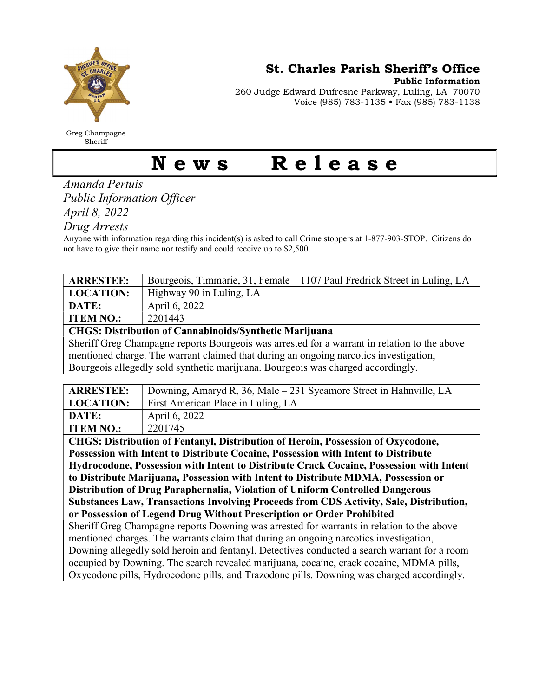

Greg Champagne Sheriff

St. Charles Parish Sheriff's Office

Public Information

260 Judge Edward Dufresne Parkway, Luling, LA 70070 Voice (985) 783-1135 • Fax (985) 783-1138

## News Release

Amanda Pertuis Public Information Officer April 8, 2022

Drug Arrests

Anyone with information regarding this incident(s) is asked to call Crime stoppers at 1-877-903-STOP. Citizens do not have to give their name nor testify and could receive up to \$2,500.

| <b>ARRESTEE:</b>                                              | Bourgeois, Timmarie, 31, Female – 1107 Paul Fredrick Street in Luling, LA                                                                                                                                                                                                                                                                                |  |
|---------------------------------------------------------------|----------------------------------------------------------------------------------------------------------------------------------------------------------------------------------------------------------------------------------------------------------------------------------------------------------------------------------------------------------|--|
| <b>LOCATION:</b>                                              | Highway 90 in Luling, LA                                                                                                                                                                                                                                                                                                                                 |  |
| DATE:                                                         | April 6, 2022                                                                                                                                                                                                                                                                                                                                            |  |
| <b>ITEM NO.:</b>                                              | 2201443                                                                                                                                                                                                                                                                                                                                                  |  |
| <b>CHGS: Distribution of Cannabinoids/Synthetic Marijuana</b> |                                                                                                                                                                                                                                                                                                                                                          |  |
| $\alpha_1$ $\alpha_2$<br>$\sim$ 1                             | $\blacksquare$ . The set of the set of the set of the set of the set of the set of the set of the set of the set of the set of the set of the set of the set of the set of the set of the set of the set of the set of the set of the<br>the contract of the contract of the contract of the contract of the contract of the contract of the contract of |  |

Sheriff Greg Champagne reports Bourgeois was arrested for a warrant in relation to the above mentioned charge. The warrant claimed that during an ongoing narcotics investigation, Bourgeois allegedly sold synthetic marijuana. Bourgeois was charged accordingly.

| <b>ARRESTEE:</b> | Downing, Amaryd R, 36, Male – 231 Sycamore Street in Hahnville, LA |
|------------------|--------------------------------------------------------------------|
| <b>LOCATION:</b> | First American Place in Luling, LA                                 |
| DATE:            | April 6, 2022                                                      |
| <b>ITEM NO.:</b> | 2201745                                                            |

CHGS: Distribution of Fentanyl, Distribution of Heroin, Possession of Oxycodone, Possession with Intent to Distribute Cocaine, Possession with Intent to Distribute Hydrocodone, Possession with Intent to Distribute Crack Cocaine, Possession with Intent to Distribute Marijuana, Possession with Intent to Distribute MDMA, Possession or Distribution of Drug Paraphernalia, Violation of Uniform Controlled Dangerous Substances Law, Transactions Involving Proceeds from CDS Activity, Sale, Distribution, or Possession of Legend Drug Without Prescription or Order Prohibited

Sheriff Greg Champagne reports Downing was arrested for warrants in relation to the above mentioned charges. The warrants claim that during an ongoing narcotics investigation, Downing allegedly sold heroin and fentanyl. Detectives conducted a search warrant for a room occupied by Downing. The search revealed marijuana, cocaine, crack cocaine, MDMA pills, Oxycodone pills, Hydrocodone pills, and Trazodone pills. Downing was charged accordingly.